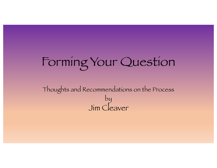# Forming Your Question

Thoughts and Recommendations on the Process by Jim Cleaver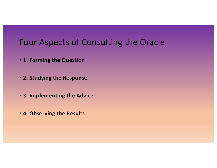#### Four Aspects of Consulting the Oracle

- **1. Forming the Question**
- **2. Studying the Response**
- **3. Implementing the Advice**
- **4. Observing the Results**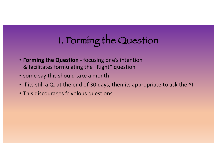## 1. Forming the Question

- **Forming the Question** focusing one's intention & facilitates formulating the "Right" question
- some say this should take a month
- if its still a Q. at the end of 30 days, then its appropriate to ask the YI
- This discourages frivolous questions.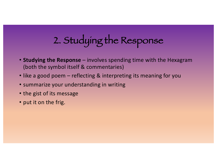## 2. Studying the Response

- **Studying the Response** involves spending time with the Hexagram (both the symbol itself & commentaries)
- like a good poem reflecting & interpreting its meaning for you
- summarize your understanding in writing
- the gist of its message
- put it on the frig.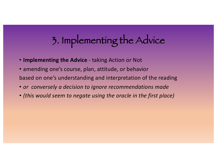## 3. Implementing the Advice

- **Implementing the Advice** taking Action or Not
- amending one's course, plan, attitude, or behavior based on one's understanding and interpretation of the reading
- *or conversely a decision to ignore recommendations made*
- *(this would seem to negate using the oracle in the first place)*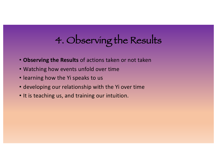## 4. Observing the Results

- **Observing the Results** of actions taken or not taken
- Watching how events unfold over time
- learning how the Yi speaks to us
- developing our relationship with the Yi over time
- It is teaching us, and training our intuition.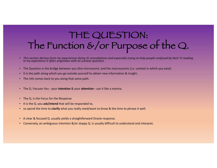#### THE QUESTION: The Function &/or Purpose of the Q.

- *This section derives from my experiences doing YJ consultations and especially trying to help people confused by their YJ reading. In my experience it often originates with an unclear question.*
- The Question is the bridge between you (the microcosm), and the macrocosmic (i.e. context in which you exist)
- It is the path along which you go outside yourself to obtain new information & insight.
- The info comes back to you along that same path.
- The Q. Focuses You your **intention** & your **attention -** use it like a mantra.
- The Q. is the Focus for the Response
- It is the Q. you **ask/intend** that will be responded to,
- so spend the time to **clarify** what you really need/want to know & the time to phrase it well.
- A clear & focused Q. usually yields a straightforward Oracle response.
- Conversely, an ambiguous intention &/or sloppy Q. is usually difficult to understand and interpret.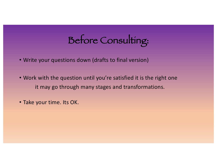## Before Consulting:

- Write your questions down (drafts to final version)
- Work with the question until you're satisfied it is the right one it may go through many stages and transformations.
- Take your time. Its OK.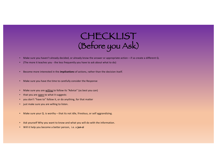#### CHECKLIST (Before you Ask)

- Make sure you haven't already decided, or already know the answer or appropriate action if so create a different Q.
- (The more it teaches you the less frequently you have to ask about what to do)
- Become more interested in the *implications* of actions, rather than the decision itself.
- Make sure you have the time to carefully consider the Response
- Make sure you are willing to follow its "Advice" (as best you can)
- that you are open to what it suggests
- you don't "have to" follow it, or do anything, for that matter
- just make sure you are willing to listen.
- Make sure your Q. is worthy that its not idle, frivolous, or self aggrandizing.
- Ask yourself Why you want to know and what you will do with the information.
- Will it help you become a better person, i.e. a **jun-zi**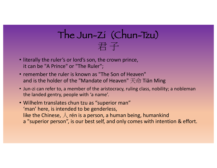## The Jun-Zi (Chun-Tzu) 君 子

- literally the ruler's or lord's son, the crown prince, it can be "A Prince" or "The Ruler";
- remember the ruler is known as "The Son of Heaven" and is the holder of the "Mandate of Heaven"  $\mathcal{F}$ 命 Tiān Mìng
- Jun-zi can refer to, a member of the aristocracy, ruling class, nobility; a nobleman the landed gentry, people with 'a name'.
- Wilhelm translates chun tzu as "superior man" 'man' here, is intended to be genderless, like the Chinese,  $\diagup$  rén is a person, a human being, humankind a "superior person", is our best self, and only comes with intention & effort.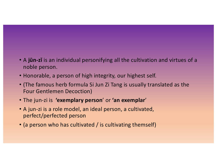- A **jūn-zǐ** is an individual personifying all the cultivation and virtues of a noble person.
- Honorable, a person of high integrity, our highest self.
- (The famous herb formula Si Jun Zi Tang is usually translated as the Four Gentlemen Decoction)
- The jun-zi is **'exemplary person**' or **'an exemplar**'
- A jun-zi is a role model, an ideal person, a cultivated, perfect/perfected person
- (a person who has cultivated / is cultivating themself)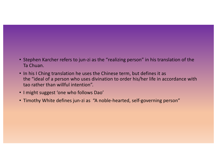- Stephen Karcher refers to jun-zi as the "realizing person" in his translation of the Ta Chuan.
- In his I Ching translation he uses the Chinese term, but defines it as the "ideal of a person who uses divination to order his/her life in accordance with tao rather than willful intention".
- I might suggest 'one who follows Dao'
- Timothy White defines jun-zi as "A noble-hearted, self-governing person"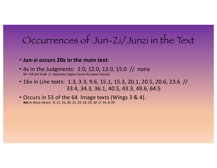## Occurrences of Jun-Zi/Junzi in the Text

- **Jun-zi occurs 20x in the main text**:
- 4x in the Judgments: 2.0, 12.0, 13.0, 15.0 // none [# = H# dot line# // separates Upper Canon & Lower Canon]
- 16x in Line texts: 1.3, 3.3, 9.6, 15.1, 15.3, 20.1, 20.5, 20.6, 23.6 // 33.4, 34.3, 36.1, 40.5, 43.3, 49.6, 64.5
- Occurs in 53 of the 64 Image texts (Wings 3 & 4). *Not in these eleven: 8, 11, 16, 20, 21, 23, 24, 25, 30 // 44, & 59*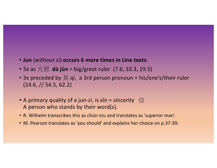- **Jun** (without zi) **occurs 6 more times in Line texts**:
- 3x as 大君 **dà jūn** = big/great ruler (7.6, 10.3, 19.5)
- 3x preceded by  $\sharp$  qi, a 3rd person pronoun = his/one's/their ruler (24.6, // 54.5, 62.2)
- A primary quality of a jun-zi, is  $x\bar{x}n =$  sincerity  $|\bar{x}|$ A person who stands by their word(s).
- R. Wilhelm transcribes this as chün-tzu and translates as 'superior man'.
- M. Pearson translates as 'you should' and explains her choice on p.37-39.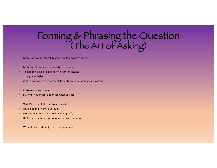### Forming & Phrasing the Question (The Art of Asking)

• Make sure what you Ask & what you Intend are Aligned

- Make the Q. succinct, concise & to the point.
- Telegraphic (like a telegram, or instant message)
- or a poem (haiku)
- it does not need to be a complete sentence, or grammatically correct
- Make every word count
- say what you mean, and mean what you ask
- **Test**: Does it roll off your tongue easily
- does it sound "right" out loud
- work with it until your sure it is the right Q.
- that it speaks to the core/essence of your situation.
- Write it down (don't just do it in your head)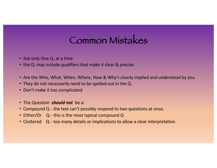### Common Mistakes

- Ask only One Q. at a time
- the Q. may include qualifiers that make it clear & precise
- Are the Who, What, When, Where, How & Why's clearly implied and *understood* by you
- They do not necessarily need to be spelled out in the Q.
- Don't make it too complicated
- The Question *should not* be a:
- Compound Q.- the text can't possibly respond to two questions at once.
- Either/Or Q.- this is the most typical compound Q
- Cluttered Q.- too many details or implications to allow a clear interpretation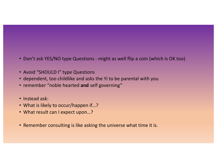- Don't ask YES/NO type Questions might as well flip a coin (which is OK too)
- Avoid "SHOULD I" type Questions
- dependent, too childlike and asks the Yi to be parental with you
- remember "noble hearted **and** self governing"
- Instead ask:
- What is likely to occur/happen if…?
- What result can I expect upon…?
- Remember consulting is like asking the universe what time it is.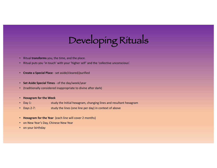# Developing Rituals

- Ritual **transforms** you, the time, and the place.
- Ritual puts you 'in touch' with your 'higher self' and the 'collective unconscious'.
- **Create a Special Place** set aside/cleared/purified
- **Set Aside Special Times** of the day/week/year
- (traditionally considered inappropriate to divine after dark)
- **Hexagram for the Week**
- Day 1: study the Initial hexagram, changing lines and resultant hexagram
- Days 2-7: study the lines (one line per day) in context of above
- **Hexagram for the Year** (each line will cover 2 months)
- on New Year's Day, Chinese New Year
- on your birthday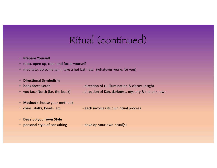## Ritual (continued)

#### • **Prepare Yourself**

- relax, open up, clear and focus yourself
- meditate, do some tai-ji, take a hot bath etc. (whatever works for you)

#### • **Directional Symbolism**

- book faces South direction of Li, illumination & clarity, insight
- 
- you face North (i.e. the book) direction of Kan, darkness, mystery & the unknown
- **Method** (choose your method)
- 
- coins, stalks, beads, etc. The seach involves its own ritual process
- **Develop your own Style**
- personal style of consulting develop your own ritual(s)
-